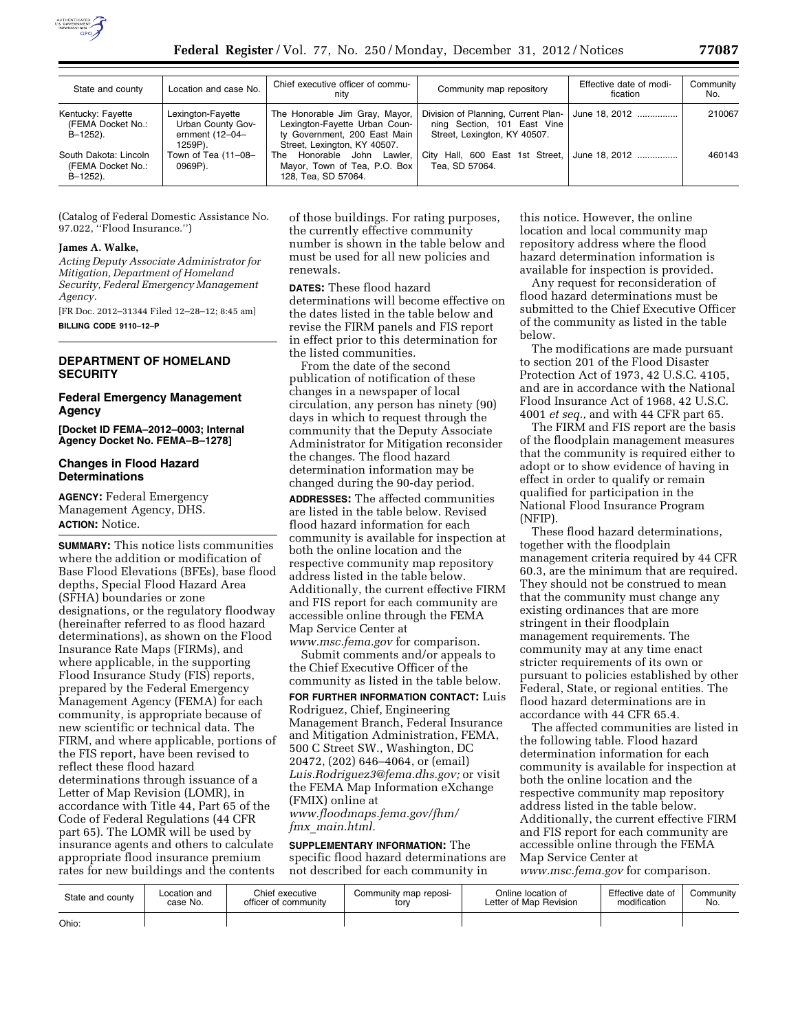

| State and county                                          | Location and case No.                                                  | Chief executive officer of commu-<br>nitv                                                                                       | Community map repository                                                                           | Effective date of modi-<br>fication | Community<br>No. |
|-----------------------------------------------------------|------------------------------------------------------------------------|---------------------------------------------------------------------------------------------------------------------------------|----------------------------------------------------------------------------------------------------|-------------------------------------|------------------|
| Kentucky: Fayette<br>(FEMA Docket No.:<br>B-1252).        | Lexington-Fayette<br>Urban County Gov-<br>ernment $(12-04-$<br>1259P). | The Honorable Jim Gray, Mayor,<br>Lexington-Fayette Urban Coun-<br>ty Government, 200 East Main<br>Street, Lexington, KY 40507. | Division of Planning, Current Plan-<br>ning Section, 101 East Vine<br>Street, Lexington, KY 40507. | June 18, 2012                       | 210067           |
| South Dakota: Lincoln<br>(FEMA Docket No.:<br>$B-1252$ ). | Town of Tea (11-08-<br>0969P).                                         | Honorable John Lawler.<br>The<br>Mayor, Town of Tea, P.O. Box<br>128, Tea, SD 57064.                                            | City Hall, 600 East 1st Street,<br>Tea. SD 57064.                                                  | June 18, 2012                       | 460143           |

(Catalog of Federal Domestic Assistance No. 97.022, ''Flood Insurance.'')

### **James A. Walke,**

*Acting Deputy Associate Administrator for Mitigation, Department of Homeland Security, Federal Emergency Management Agency.* 

[FR Doc. 2012–31344 Filed 12–28–12; 8:45 am] **BILLING CODE 9110–12–P** 

# **DEPARTMENT OF HOMELAND SECURITY**

### **Federal Emergency Management Agency**

**[Docket ID FEMA–2012–0003; Internal Agency Docket No. FEMA–B–1278]** 

# **Changes in Flood Hazard Determinations**

**AGENCY:** Federal Emergency Management Agency, DHS. **ACTION:** Notice.

**SUMMARY:** This notice lists communities where the addition or modification of Base Flood Elevations (BFEs), base flood depths, Special Flood Hazard Area (SFHA) boundaries or zone designations, or the regulatory floodway (hereinafter referred to as flood hazard determinations), as shown on the Flood Insurance Rate Maps (FIRMs), and where applicable, in the supporting Flood Insurance Study (FIS) reports, prepared by the Federal Emergency Management Agency (FEMA) for each community, is appropriate because of new scientific or technical data. The FIRM, and where applicable, portions of the FIS report, have been revised to reflect these flood hazard determinations through issuance of a Letter of Map Revision (LOMR), in accordance with Title 44, Part 65 of the Code of Federal Regulations (44 CFR part 65). The LOMR will be used by insurance agents and others to calculate appropriate flood insurance premium rates for new buildings and the contents

of those buildings. For rating purposes, the currently effective community number is shown in the table below and must be used for all new policies and renewals.

**DATES:** These flood hazard determinations will become effective on the dates listed in the table below and revise the FIRM panels and FIS report in effect prior to this determination for the listed communities.

From the date of the second publication of notification of these changes in a newspaper of local circulation, any person has ninety (90) days in which to request through the community that the Deputy Associate Administrator for Mitigation reconsider the changes. The flood hazard determination information may be changed during the 90-day period.

**ADDRESSES:** The affected communities are listed in the table below. Revised flood hazard information for each community is available for inspection at both the online location and the respective community map repository address listed in the table below. Additionally, the current effective FIRM and FIS report for each community are accessible online through the FEMA Map Service Center at

*[www.msc.fema.gov](http://www.msc.fema.gov)* for comparison. Submit comments and/or appeals to the Chief Executive Officer of the community as listed in the table below.

**FOR FURTHER INFORMATION CONTACT:** Luis Rodriguez, Chief, Engineering Management Branch, Federal Insurance and Mitigation Administration, FEMA, 500 C Street SW., Washington, DC 20472, (202) 646–4064, or (email) *[Luis.Rodriguez3@fema.dhs.gov;](mailto:Luis.Rodriguez3@fema.dhs.gov)* or visit the FEMA Map Information eXchange (FMIX) online at *[www.floodmaps.fema.gov/fhm/](http://www.floodmaps.fema.gov/fhm/fmx_main.html) fmx*\_*[main.html.](http://www.floodmaps.fema.gov/fhm/fmx_main.html)* 

# **SUPPLEMENTARY INFORMATION:** The

specific flood hazard determinations are not described for each community in

this notice. However, the online location and local community map repository address where the flood hazard determination information is available for inspection is provided.

Any request for reconsideration of flood hazard determinations must be submitted to the Chief Executive Officer of the community as listed in the table below.

The modifications are made pursuant to section 201 of the Flood Disaster Protection Act of 1973, 42 U.S.C. 4105, and are in accordance with the National Flood Insurance Act of 1968, 42 U.S.C. 4001 *et seq.,* and with 44 CFR part 65.

The FIRM and FIS report are the basis of the floodplain management measures that the community is required either to adopt or to show evidence of having in effect in order to qualify or remain qualified for participation in the National Flood Insurance Program (NFIP).

These flood hazard determinations, together with the floodplain management criteria required by 44 CFR 60.3, are the minimum that are required. They should not be construed to mean that the community must change any existing ordinances that are more stringent in their floodplain management requirements. The community may at any time enact stricter requirements of its own or pursuant to policies established by other Federal, State, or regional entities. The flood hazard determinations are in accordance with 44 CFR 65.4.

The affected communities are listed in the following table. Flood hazard determination information for each community is available for inspection at both the online location and the respective community map repository address listed in the table below. Additionally, the current effective FIRM and FIS report for each community are accessible online through the FEMA Map Service Center at *[www.msc.fema.gov](http://www.msc.fema.gov)* for comparison.

| State and county | Location and | Chief executive      | Community map reposi- | Online location of     | Effective date of | Community |
|------------------|--------------|----------------------|-----------------------|------------------------|-------------------|-----------|
|                  | case No.     | officer of community | tory                  | Letter of Map Revision | modification      | No.       |
| Ohio:            |              |                      |                       |                        |                   |           |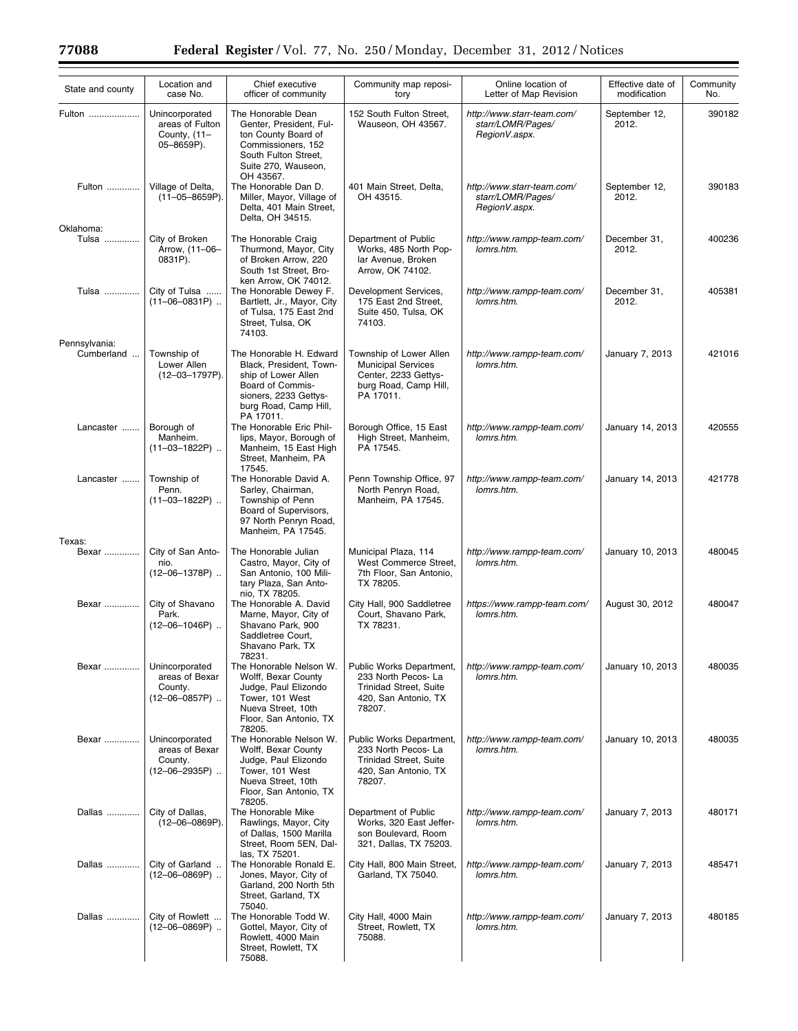$\equiv$ 

| State and county            | Location and<br>case No.                                           | Chief executive<br>officer of community                                                                                                                      | Community map reposi-<br>tory                                                                                      | Online location of<br>Letter of Map Revision                     | Effective date of<br>modification | Community<br>No. |
|-----------------------------|--------------------------------------------------------------------|--------------------------------------------------------------------------------------------------------------------------------------------------------------|--------------------------------------------------------------------------------------------------------------------|------------------------------------------------------------------|-----------------------------------|------------------|
| Fulton                      | Unincorporated<br>areas of Fulton<br>County, (11-<br>05-8659P).    | The Honorable Dean<br>Genter, President, Ful-<br>ton County Board of<br>Commissioners, 152<br>South Fulton Street,<br>Suite 270, Wauseon,                    | 152 South Fulton Street,<br>Wauseon, OH 43567.                                                                     | http://www.starr-team.com/<br>starr/LOMR/Pages/<br>RegionV.aspx. | September 12,<br>2012.            | 390182           |
| Fulton                      | Village of Delta,<br>$(11-05-8659P).$                              | OH 43567.<br>The Honorable Dan D.<br>Miller, Mayor, Village of<br>Delta, 401 Main Street,<br>Delta, OH 34515.                                                | 401 Main Street, Delta,<br>OH 43515.                                                                               | http://www.starr-team.com/<br>starr/LOMR/Pages/<br>RegionV.aspx. | September 12,<br>2012.            | 390183           |
| Oklahoma:<br>Tulsa          | City of Broken<br>Arrow, (11-06-<br>0831P).                        | The Honorable Craig<br>Thurmond, Mayor, City<br>of Broken Arrow, 220<br>South 1st Street, Bro-                                                               | Department of Public<br>Works, 485 North Pop-<br>lar Avenue, Broken<br>Arrow, OK 74102.                            | http://www.rampp-team.com/<br>lomrs.htm.                         | December 31,<br>2012.             | 400236           |
| Tulsa                       | City of Tulsa<br>$(11-06-0831P)$                                   | ken Arrow, OK 74012.<br>The Honorable Dewey F.<br>Bartlett, Jr., Mayor, City<br>of Tulsa, 175 East 2nd<br>Street, Tulsa, OK<br>74103.                        | Development Services,<br>175 East 2nd Street,<br>Suite 450, Tulsa, OK<br>74103.                                    | http://www.rampp-team.com/<br>lomrs.htm.                         | December 31,<br>2012.             | 405381           |
| Pennsylvania:<br>Cumberland | Township of<br>Lower Allen<br>$(12 - 03 - 1797P)$ .                | The Honorable H. Edward<br>Black, President, Town-<br>ship of Lower Allen<br>Board of Commis-<br>sioners, 2233 Gettys-<br>burg Road, Camp Hill,<br>PA 17011. | Township of Lower Allen<br><b>Municipal Services</b><br>Center, 2233 Gettys-<br>burg Road, Camp Hill,<br>PA 17011. | http://www.rampp-team.com/<br>lomrs.htm.                         | January 7, 2013                   | 421016           |
| Lancaster                   | Borough of<br>Manheim.<br>$(11-03-1822P)$                          | The Honorable Eric Phil-<br>lips, Mayor, Borough of<br>Manheim, 15 East High<br>Street, Manheim, PA                                                          | Borough Office, 15 East<br>High Street, Manheim,<br>PA 17545.                                                      | http://www.rampp-team.com/<br>lomrs.htm.                         | January 14, 2013                  | 420555           |
| Lancaster                   | Township of<br>Penn.<br>$(11-03-1822P)$                            | 17545.<br>The Honorable David A.<br>Sarley, Chairman,<br>Township of Penn<br>Board of Supervisors,<br>97 North Penryn Road,                                  | Penn Township Office, 97<br>North Penryn Road,<br>Manheim, PA 17545.                                               | http://www.rampp-team.com/<br>lomrs.htm.                         | January 14, 2013                  | 421778           |
| Texas:                      |                                                                    | Manheim, PA 17545.                                                                                                                                           |                                                                                                                    |                                                                  |                                   |                  |
| Bexar                       | City of San Anto-<br>nio.<br>$(12 - 06 - 1378P)$                   | The Honorable Julian<br>Castro, Mayor, City of<br>San Antonio, 100 Mili-<br>tary Plaza, San Anto-<br>nio, TX 78205.                                          | Municipal Plaza, 114<br>West Commerce Street,<br>7th Floor, San Antonio,<br>TX 78205.                              | http://www.rampp-team.com/<br>lomrs.htm.                         | January 10, 2013                  | 480045           |
| Bexar                       | City of Shavano<br>Park.<br>$(12 - 06 - 1046P)$                    | The Honorable A. David<br>Marne, Mayor, City of<br>Shavano Park, 900<br>Saddletree Court,<br>Shavano Park, TX<br>78231.                                      | City Hall, 900 Saddletree<br>Court, Shavano Park,<br>TX 78231.                                                     | https://www.rampp-team.com/<br>lomrs.htm.                        | August 30, 2012                   | 480047           |
| Bexar                       | Unincorporated<br>areas of Bexar<br>County.<br>$(12 - 06 - 0857P)$ | The Honorable Nelson W.<br>Wolff, Bexar County<br>Judge, Paul Elizondo<br>Tower, 101 West<br>Nueva Street, 10th<br>Floor, San Antonio, TX<br>78205.          | Public Works Department,<br>233 North Pecos- La<br><b>Trinidad Street, Suite</b><br>420, San Antonio, TX<br>78207. | http://www.rampp-team.com/<br>lomrs.htm.                         | January 10, 2013                  | 480035           |
| Bexar                       | Unincorporated<br>areas of Bexar<br>County.<br>$(12 - 06 - 2935P)$ | The Honorable Nelson W.<br>Wolff, Bexar County<br>Judge, Paul Elizondo<br>Tower, 101 West<br>Nueva Street, 10th<br>Floor, San Antonio, TX<br>78205.          | Public Works Department,<br>233 North Pecos- La<br><b>Trinidad Street, Suite</b><br>420, San Antonio, TX<br>78207. | http://www.rampp-team.com/<br>lomrs.htm.                         | January 10, 2013                  | 480035           |
| Dallas                      | City of Dallas,<br>$(12 - 06 - 0869P)$ .                           | The Honorable Mike<br>Rawlings, Mayor, City<br>of Dallas, 1500 Marilla<br>Street, Room 5EN, Dal-<br>las, TX 75201.                                           | Department of Public<br>Works, 320 East Jeffer-<br>son Boulevard, Room<br>321, Dallas, TX 75203.                   | http://www.rampp-team.com/<br>lomrs.htm.                         | January 7, 2013                   | 480171           |
| Dallas                      | City of Garland<br>$(12 - 06 - 0869P)$                             | The Honorable Ronald E.<br>Jones, Mayor, City of<br>Garland, 200 North 5th<br>Street, Garland, TX<br>75040.                                                  | City Hall, 800 Main Street,<br>Garland, TX 75040.                                                                  | http://www.rampp-team.com/<br>lomrs.htm.                         | January 7, 2013                   | 485471           |
| Dallas                      | City of Rowlett<br>$(12 - 06 - 0869P)$                             | The Honorable Todd W.<br>Gottel, Mayor, City of<br>Rowlett, 4000 Main<br>Street, Rowlett, TX<br>75088.                                                       | City Hall, 4000 Main<br>Street, Rowlett, TX<br>75088.                                                              | http://www.rampp-team.com/<br>lomrs.htm.                         | January 7, 2013                   | 480185           |